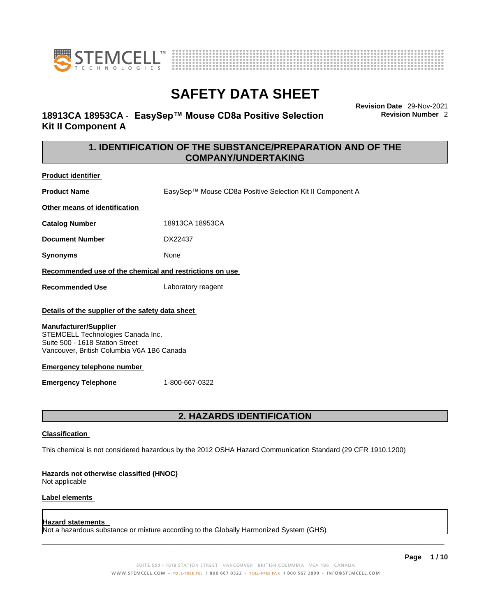



# **18913CA 18953CA** - **EasySep™ Mouse CD8a Positive Selection Kit II Component A**

**Revision Date** 29-Nov-2021 **Revision Number** 2

# **1. IDENTIFICATION OF THE SUBSTANCE/PREPARATION AND OF THE COMPANY/UNDERTAKING**

**Product identifier**

**Product Name** EasySep™ Mouse CD8a Positive Selection Kit II Component A

**Other means of identification**

**Catalog Number** 18913CA 18953CA

**Document Number** DX22437

**Synonyms** None

**Recommended use of the chemical and restrictions on use**

**Recommended Use** Laboratory reagent

### **Details of the supplier of the safety data sheet**

### **Manufacturer/Supplier**

STEMCELL Technologies Canada Inc. Suite 500 - 1618 Station Street Vancouver, British Columbia V6A 1B6 Canada

### **Emergency telephone number**

**Emergency Telephone** 1-800-667-0322

# **2. HAZARDS IDENTIFICATION**

### **Classification**

This chemical is not considered hazardous by the 2012 OSHA Hazard Communication Standard (29 CFR 1910.1200)

### **Hazards not otherwise classified (HNOC)**

Not applicable

### **Label elements**

### **Hazard statements**

Not a hazardous substance or mixture according to the Globally Harmonized System (GHS)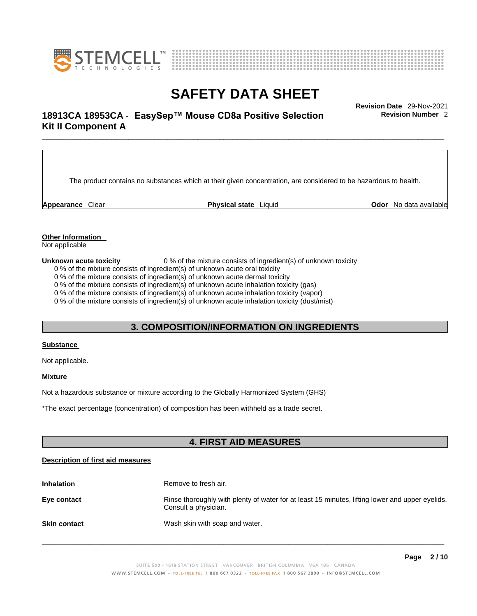



# \_\_\_\_\_\_\_\_\_\_\_\_\_\_\_\_\_\_\_\_\_\_\_\_\_\_\_\_\_\_\_\_\_\_\_\_\_\_\_\_\_\_\_\_\_\_\_\_\_\_\_\_\_\_\_\_\_\_\_\_\_\_\_\_\_\_\_\_\_\_\_\_\_\_\_\_\_\_\_\_\_\_\_\_\_\_\_\_\_\_\_\_\_ **Revision Date** 29-Nov-2021 **18913CA 18953CA** - **EasySep™ Mouse CD8a Positive Selection Kit II Component A**

The product contains no substances which at their given concentration, are considered to be hazardous to health.

**Appearance** Clear **Physical state** Liquid **Odor** No data available

**Revision Number** 2

**Other Information** 

Not applicable

**Unknown acute toxicity** 0 % of the mixture consists of ingredient(s) of unknown toxicity

0 % of the mixture consists of ingredient(s) of unknown acute oral toxicity

0 % of the mixture consists of ingredient(s) of unknown acute dermal toxicity

0 % of the mixture consists of ingredient(s) of unknown acute inhalation toxicity (gas)

0 % of the mixture consists of ingredient(s) of unknown acute inhalation toxicity (vapor)

0 % of the mixture consists of ingredient(s) of unknown acute inhalation toxicity (dust/mist)

## **3. COMPOSITION/INFORMATION ON INGREDIENTS**

#### **Substance**

Not applicable.

### **Mixture**

Not a hazardous substance or mixture according to the Globally Harmonized System (GHS)

\*The exact percentage (concentration) ofcomposition has been withheld as a trade secret.

# **4. FIRST AID MEASURES**

### **Description of first aid measures**

| <b>Inhalation</b>   | Remove to fresh air.                                                                                                    |
|---------------------|-------------------------------------------------------------------------------------------------------------------------|
| Eye contact         | Rinse thoroughly with plenty of water for at least 15 minutes, lifting lower and upper eyelids.<br>Consult a physician. |
| <b>Skin contact</b> | Wash skin with soap and water.                                                                                          |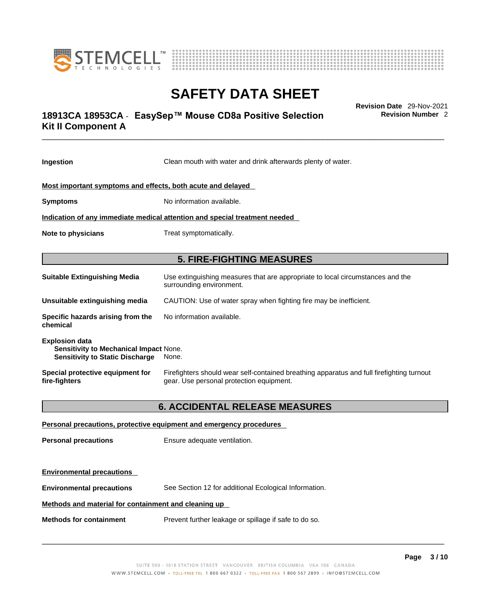



# \_\_\_\_\_\_\_\_\_\_\_\_\_\_\_\_\_\_\_\_\_\_\_\_\_\_\_\_\_\_\_\_\_\_\_\_\_\_\_\_\_\_\_\_\_\_\_\_\_\_\_\_\_\_\_\_\_\_\_\_\_\_\_\_\_\_\_\_\_\_\_\_\_\_\_\_\_\_\_\_\_\_\_\_\_\_\_\_\_\_\_\_\_ **Revision Date** 29-Nov-2021 **18913CA 18953CA** - **EasySep™ Mouse CD8a Positive Selection Kit II Component A**

**Revision Number** 2

| Ingestion                                                                                                 | Clean mouth with water and drink afterwards plenty of water.                                                                          |  |
|-----------------------------------------------------------------------------------------------------------|---------------------------------------------------------------------------------------------------------------------------------------|--|
| Most important symptoms and effects, both acute and delayed                                               |                                                                                                                                       |  |
| <b>Symptoms</b>                                                                                           | No information available.                                                                                                             |  |
| Indication of any immediate medical attention and special treatment needed                                |                                                                                                                                       |  |
| Note to physicians                                                                                        | Treat symptomatically.                                                                                                                |  |
|                                                                                                           | <b>5. FIRE-FIGHTING MEASURES</b>                                                                                                      |  |
| <b>Suitable Extinguishing Media</b>                                                                       | Use extinguishing measures that are appropriate to local circumstances and the<br>surrounding environment.                            |  |
| Unsuitable extinguishing media                                                                            | CAUTION: Use of water spray when fighting fire may be inefficient.                                                                    |  |
| Specific hazards arising from the<br>chemical                                                             | No information available.                                                                                                             |  |
| <b>Explosion data</b><br>Sensitivity to Mechanical Impact None.<br><b>Sensitivity to Static Discharge</b> | None.                                                                                                                                 |  |
| Special protective equipment for<br>fire-fighters                                                         | Firefighters should wear self-contained breathing apparatus and full firefighting turnout<br>gear. Use personal protection equipment. |  |
|                                                                                                           | <b>6. ACCIDENTAL RELEASE MEASURES</b>                                                                                                 |  |
|                                                                                                           | Personal precautions, protective equipment and emergency procedures                                                                   |  |
| <b>Personal precautions</b>                                                                               | Ensure adequate ventilation.                                                                                                          |  |
| <b>Environmental precautions</b>                                                                          |                                                                                                                                       |  |
| <b>Environmental precautions</b>                                                                          | See Section 12 for additional Ecological Information.                                                                                 |  |

## **Methods and material for containment and cleaning up**

**Methods for containment** Prevent further leakage or spillage if safe to do so.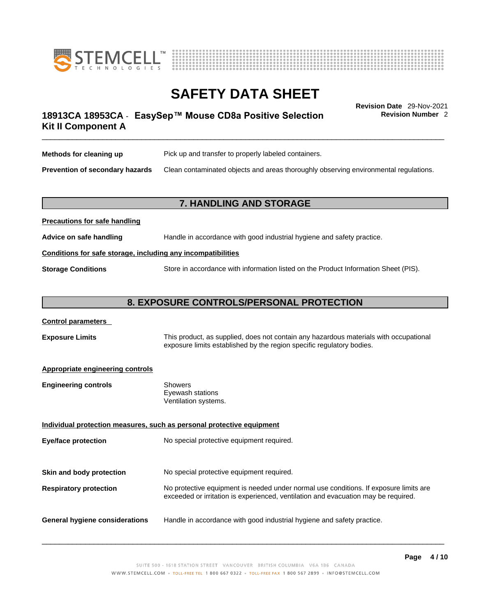



# \_\_\_\_\_\_\_\_\_\_\_\_\_\_\_\_\_\_\_\_\_\_\_\_\_\_\_\_\_\_\_\_\_\_\_\_\_\_\_\_\_\_\_\_\_\_\_\_\_\_\_\_\_\_\_\_\_\_\_\_\_\_\_\_\_\_\_\_\_\_\_\_\_\_\_\_\_\_\_\_\_\_\_\_\_\_\_\_\_\_\_\_\_ **Revision Date** 29-Nov-2021 **18913CA 18953CA** - **EasySep™ Mouse CD8a Positive Selection Kit II Component A**

**Revision Number** 2

| Methods for cleaning up         | Pick up and transfer to properly labeled containers.                                 |
|---------------------------------|--------------------------------------------------------------------------------------|
| Prevention of secondary hazards | Clean contaminated objects and areas thoroughly observing environmental regulations. |

# **7. HANDLING AND STORAGE**

| Advice on safe handling   | Handle in accordance with good industrial hygiene and safety practice.              |  |
|---------------------------|-------------------------------------------------------------------------------------|--|
|                           | Conditions for safe storage, including any incompatibilities                        |  |
| <b>Storage Conditions</b> | Store in accordance with information listed on the Product Information Sheet (PIS). |  |

# **8. EXPOSURE CONTROLS/PERSONAL PROTECTION**

| <b>Control parameters</b> |
|---------------------------|
|---------------------------|

**Precautions for safe handling**

**Exposure Limits** This product, as supplied, does not contain any hazardous materials with occupational exposure limits established by the region specific regulatory bodies.

### **Appropriate engineering controls**

| <b>Engineering controls</b> | Showers              |
|-----------------------------|----------------------|
|                             | Eyewash stations     |
|                             | Ventilation systems. |
|                             |                      |

**Individual protection measures, such as personal protective equipment Eye/face protection** No special protective equipment required. **Skin and body protection** No special protective equipment required. **Respiratory protection** No protective equipment is needed under normal use conditions. If exposure limits are exceeded or irritation is experienced, ventilation and evacuation may be required. **General hygiene considerations** Handle in accordance with good industrial hygiene and safety practice.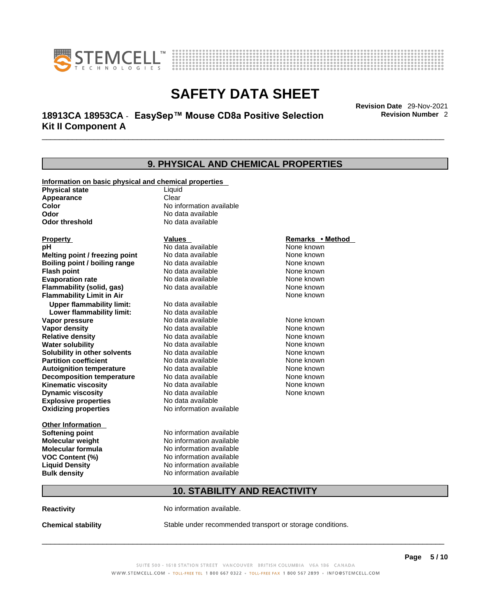



# \_\_\_\_\_\_\_\_\_\_\_\_\_\_\_\_\_\_\_\_\_\_\_\_\_\_\_\_\_\_\_\_\_\_\_\_\_\_\_\_\_\_\_\_\_\_\_\_\_\_\_\_\_\_\_\_\_\_\_\_\_\_\_\_\_\_\_\_\_\_\_\_\_\_\_\_\_\_\_\_\_\_\_\_\_\_\_\_\_\_\_\_\_ **Revision Date** 29-Nov-2021 **18913CA 18953CA** - **EasySep™ Mouse CD8a Positive Selection Kit II Component A**

**Revision Number** 2

### **9. PHYSICAL AND CHEMICAL PROPERTIES Information on basic physical and chemical properties Physical state** Liquid **Appearance** Clear<br> **Color** No int **Color Color Color Color Color Color Color No** data available **Odor Odor Constanting Codor Constanting Codor Codor Codor Codor Codor Codor Codor Codor Codor Codor Codor Codor Codor Codor Codor Codor Codor Codor Codor Codor Codor Codor Codor No data available Explosive properties** No data available **Oxidizing properties** No information available **Other Information Softening point** No information available **Molecular weight** No information available **Molecular formula** No information available<br>**VOC Content (%)** No information available **VOC Content (%) Liquid Density** No information available **Bulk density No information available 10. STABILITY AND REACTIVITY Reactivity No information available. Chemical stability** Stable under recommended transport or storage conditions. **Property CONSIDERENT VALUES PROPERTY Remarks •** Method **pH** No data available None known **Melting point / freezing point Boiling point / boiling range Modata available None known None known Flash point Communist Communist Communist Communist Communist Communist Communist Communist Communist Communist Communist Communist Communist Communist Communist Communist Communist Communist Communist Communist Communi Evaporation rate Reserve ACC** No data available **None known** None known **Flammability (solid, gas)** No data available None known **Flammability Limit in Air** None known **Upper flammability limit:** No data available **Lower flammability limit:** No data available **Vapor pressure No data available None known Vapor density No data available None known Relative density No data available None known** None known **Water solubility No data available** Mome known<br> **Solubility in other solvents** No data available **None known**<br>
None known **Solubility in other solvents** No data available **None known**<br> **Partition coefficient** No data available None known **Partition coefficient**<br>**Autoignition temperature** No data available **Autoignition temperature** No data available None known<br> **Decomposition temperature** No data available None known **Decomposition temperature** No data available None known<br> **Kinematic viscosity** No data available None known **Kinematic viscosity No data available None known**<br> **None known**<br>
No data available **None known**<br>
None known **Dynamic viscosity** None known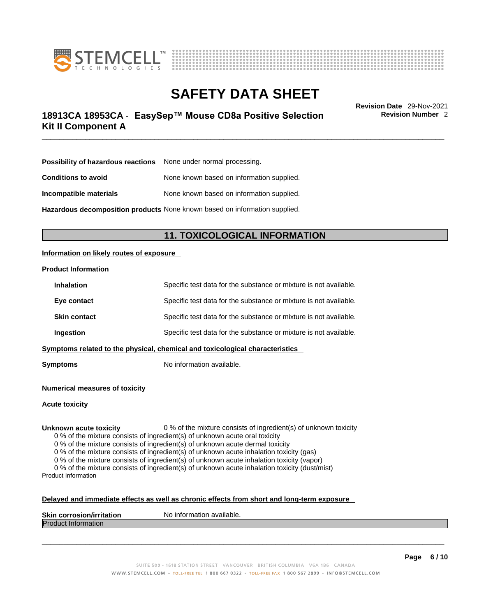



# \_\_\_\_\_\_\_\_\_\_\_\_\_\_\_\_\_\_\_\_\_\_\_\_\_\_\_\_\_\_\_\_\_\_\_\_\_\_\_\_\_\_\_\_\_\_\_\_\_\_\_\_\_\_\_\_\_\_\_\_\_\_\_\_\_\_\_\_\_\_\_\_\_\_\_\_\_\_\_\_\_\_\_\_\_\_\_\_\_\_\_\_\_ **Revision Date** 29-Nov-2021 **18913CA 18953CA** - **EasySep™ Mouse CD8a Positive Selection Kit II Component A**

**Revision Number** 2

| Possibility of hazardous reactions | None under normal processing.             |
|------------------------------------|-------------------------------------------|
| <b>Conditions to avoid</b>         | None known based on information supplied. |
| Incompatible materials             | None known based on information supplied. |

**Hazardous decomposition products** None known based on information supplied.

# **11. TOXICOLOGICAL INFORMATION**

### **Information on likely routes of exposure**

#### **Product Information**

| <b>Inhalation</b>   | Specific test data for the substance or mixture is not available.            |
|---------------------|------------------------------------------------------------------------------|
| Eye contact         | Specific test data for the substance or mixture is not available.            |
| <b>Skin contact</b> | Specific test data for the substance or mixture is not available.            |
| <b>Ingestion</b>    | Specific test data for the substance or mixture is not available.            |
|                     | Symptoms related to the physical, chemical and toxicological characteristics |

**Symptoms** No information available.

**Numerical measures of toxicity**

**Acute toxicity**

**Unknown acute toxicity** 0 % of the mixture consists of ingredient(s) of unknown toxicity

0 % of the mixture consists of ingredient(s) of unknown acute oral toxicity

0 % of the mixture consists of ingredient(s) of unknown acute dermal toxicity

0 % of the mixture consists of ingredient(s) of unknown acute inhalation toxicity (gas)

0 % of the mixture consists of ingredient(s) of unknown acute inhalation toxicity (vapor)

0 % of the mixture consists of ingredient(s) of unknown acute inhalation toxicity (dust/mist) Product Information

#### **Delayed and immediate effects as well as chronic effects from short and long-term exposure**

| <b>Skin</b><br><b>Virritation</b><br>Nο<br>. corros | inform<br>mation available. |
|-----------------------------------------------------|-----------------------------|
| Proo<br>nauon                                       |                             |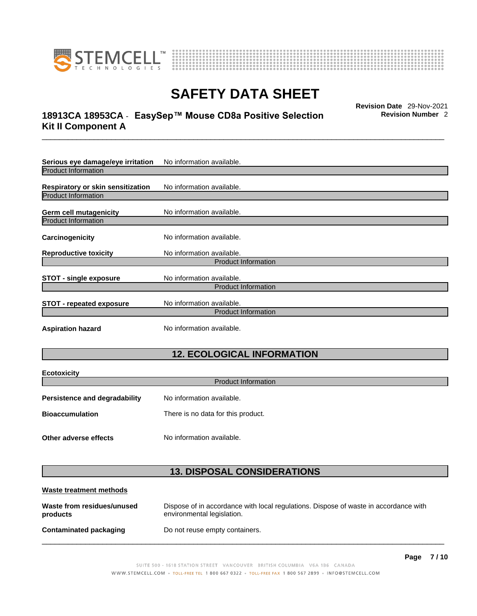



# \_\_\_\_\_\_\_\_\_\_\_\_\_\_\_\_\_\_\_\_\_\_\_\_\_\_\_\_\_\_\_\_\_\_\_\_\_\_\_\_\_\_\_\_\_\_\_\_\_\_\_\_\_\_\_\_\_\_\_\_\_\_\_\_\_\_\_\_\_\_\_\_\_\_\_\_\_\_\_\_\_\_\_\_\_\_\_\_\_\_\_\_\_ **Revision Date** 29-Nov-2021 **18913CA 18953CA** - **EasySep™ Mouse CD8a Positive Selection Kit II Component A**

**Revision Number** 2

| Serious eye damage/eye irritation | No information available.  |
|-----------------------------------|----------------------------|
| <b>Product Information</b>        |                            |
| Respiratory or skin sensitization | No information available.  |
| <b>Product Information</b>        |                            |
| Germ cell mutagenicity            | No information available.  |
| <b>Product Information</b>        |                            |
| Carcinogenicity                   | No information available.  |
| <b>Reproductive toxicity</b>      | No information available.  |
|                                   | <b>Product Information</b> |
| <b>STOT - single exposure</b>     | No information available.  |
|                                   | <b>Product Information</b> |
| <b>STOT - repeated exposure</b>   | No information available.  |
|                                   | <b>Product Information</b> |
| <b>Aspiration hazard</b>          | No information available.  |

# **12. ECOLOGICAL INFORMATION**

| <b>Ecotoxicity</b>                   |                                    |
|--------------------------------------|------------------------------------|
| <b>Product Information</b>           |                                    |
| <b>Persistence and degradability</b> | No information available.          |
| <b>Bioaccumulation</b>               | There is no data for this product. |
| Other adverse effects                | No information available.          |

# **13. DISPOSAL CONSIDERATIONS**

| Waste treatment methods                |                                                                                                                    |
|----------------------------------------|--------------------------------------------------------------------------------------------------------------------|
| Waste from residues/unused<br>products | Dispose of in accordance with local regulations. Dispose of waste in accordance with<br>environmental legislation. |
| Contaminated packaging                 | Do not reuse empty containers.                                                                                     |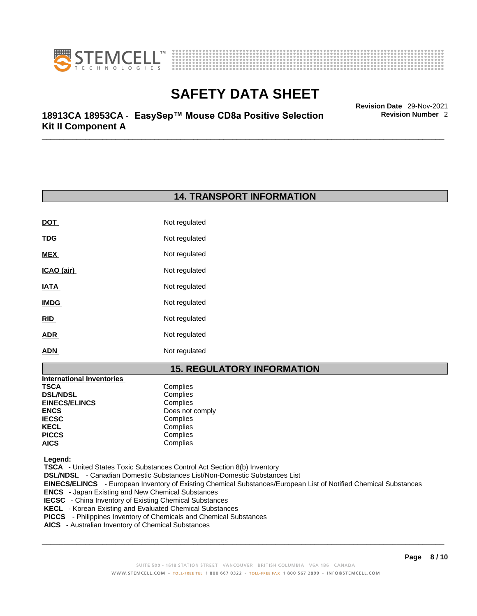



\_\_\_\_\_\_\_\_\_\_\_\_\_\_\_\_\_\_\_\_\_\_\_\_\_\_\_\_\_\_\_\_\_\_\_\_\_\_\_\_\_\_\_\_\_\_\_\_\_\_\_\_\_\_\_\_\_\_\_\_\_\_\_\_\_\_\_\_\_\_\_\_\_\_\_\_\_\_\_\_\_\_\_\_\_\_\_\_\_\_\_\_\_ **Revision Date** 29-Nov-2021 **18913CA 18953CA** - **EasySep™ Mouse CD8a Positive Selection Kit II Component A** 

# **14. TRANSPORT INFORMATION**

| <b>DOT</b>  | Not regulated |
|-------------|---------------|
| <u>TDG</u>  | Not regulated |
| MEX         | Not regulated |
| ICAO (air)  | Not regulated |
| IATA        | Not regulated |
| <b>IMDG</b> | Not regulated |
| RID         | Not regulated |
| <b>ADR</b>  | Not regulated |
| <b>ADN</b>  | Not regulated |

# **15. REGULATORY INFORMATION**

| <b>International Inventories</b> |                 |
|----------------------------------|-----------------|
| TSCA                             | Complies        |
| <b>DSL/NDSL</b>                  | Complies        |
| <b>EINECS/ELINCS</b>             | Complies        |
| ENCS                             | Does not comply |
| <b>IECSC</b>                     | Complies        |
| KECL                             | Complies        |
| PICCS                            | Complies        |
| AICS                             | Complies        |
|                                  |                 |

 **Legend:** 

 **TSCA** - United States Toxic Substances Control Act Section 8(b) Inventory

 **DSL/NDSL** - Canadian Domestic Substances List/Non-Domestic Substances List

 **EINECS/ELINCS** - European Inventory of Existing Chemical Substances/European List of Notified Chemical Substances

- **ENCS**  Japan Existing and New Chemical Substances
- **IECSC**  China Inventory of Existing Chemical Substances
- **KECL**  Korean Existing and Evaluated Chemical Substances
- **PICCS**  Philippines Inventory of Chemicals and Chemical Substances
- **AICS**  Australian Inventory of Chemical Substances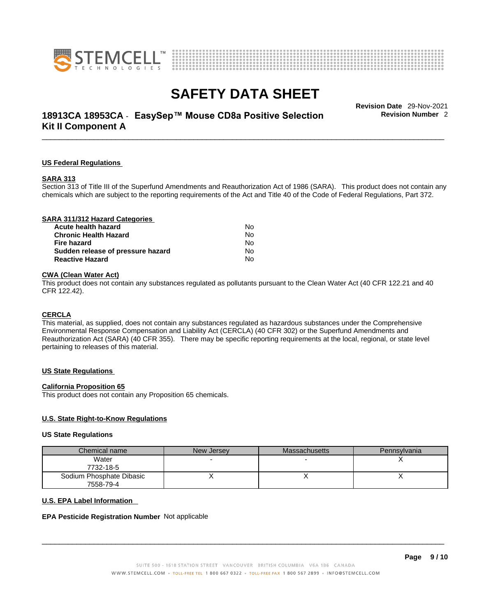



# \_\_\_\_\_\_\_\_\_\_\_\_\_\_\_\_\_\_\_\_\_\_\_\_\_\_\_\_\_\_\_\_\_\_\_\_\_\_\_\_\_\_\_\_\_\_\_\_\_\_\_\_\_\_\_\_\_\_\_\_\_\_\_\_\_\_\_\_\_\_\_\_\_\_\_\_\_\_\_\_\_\_\_\_\_\_\_\_\_\_\_\_\_ **Revision Date** 29-Nov-2021 **18913CA 18953CA** - **EasySep™ Mouse CD8a Positive Selection Kit II Component A**

**Revision Number** 2

#### **US Federal Regulations**

#### **SARA 313**

Section 313 of Title III of the Superfund Amendments and Reauthorization Act of 1986 (SARA). This product does not contain any chemicals which are subject to the reporting requirements of the Act and Title 40 of the Code of Federal Regulations, Part 372.

### **CWA** (Clean Water Act)

This product does not contain any substances regulated as pollutants pursuant to the Clean Water Act (40 CFR 122.21 and 40 CFR 122.42).

#### **CERCLA**

This material, as supplied, does not contain any substances regulated as hazardous substances under the Comprehensive Environmental Response Compensation and Liability Act (CERCLA) (40 CFR 302) or the Superfund Amendments and Reauthorization Act (SARA) (40 CFR 355). There may be specific reporting requirements at the local, regional, or state level pertaining to releases of this material.

#### **US State Regulations**

#### **California Proposition 65**

This product does not contain any Proposition 65 chemicals.

### **U.S. State Right-to-Know Regulations**

#### **US State Regulations**

| Chemical name            | New Jersey | <b>Massachusetts</b> | Pennsylvania |
|--------------------------|------------|----------------------|--------------|
| Water                    |            |                      |              |
| 7732-18-5                |            |                      |              |
| Sodium Phosphate Dibasic |            |                      |              |
| 7558-79-4                |            |                      |              |

#### **U.S. EPA Label Information**

#### **EPA Pesticide Registration Number** Not applicable